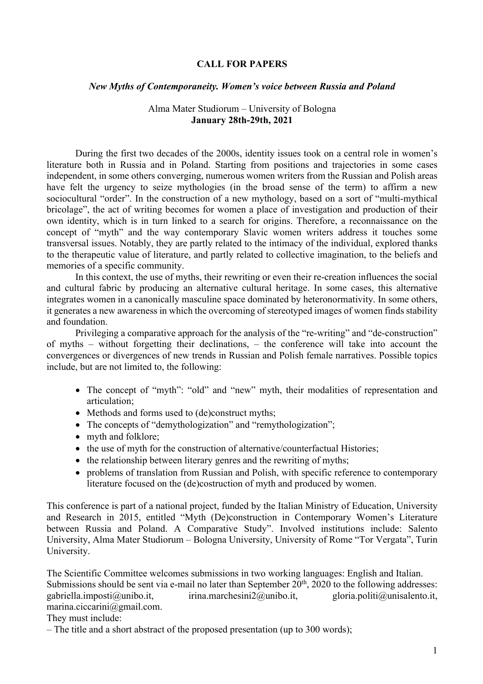### **CALL FOR PAPERS**

### *New Myths of Contemporaneity. Women's voice between Russia and Poland*

## Alma Mater Studiorum – University of Bologna **January 28th-29th, 2021**

During the first two decades of the 2000s, identity issues took on a central role in women's literature both in Russia and in Poland. Starting from positions and trajectories in some cases independent, in some others converging, numerous women writers from the Russian and Polish areas have felt the urgency to seize mythologies (in the broad sense of the term) to affirm a new sociocultural "order". In the construction of a new mythology, based on a sort of "multi-mythical bricolage", the act of writing becomes for women a place of investigation and production of their own identity, which is in turn linked to a search for origins. Therefore, a reconnaissance on the concept of "myth" and the way contemporary Slavic women writers address it touches some transversal issues. Notably, they are partly related to the intimacy of the individual, explored thanks to the therapeutic value of literature, and partly related to collective imagination, to the beliefs and memories of a specific community.

In this context, the use of myths, their rewriting or even their re-creation influences the social and cultural fabric by producing an alternative cultural heritage. In some cases, this alternative integrates women in a canonically masculine space dominated by heteronormativity. In some others, it generates a new awareness in which the overcoming of stereotyped images of women finds stability and foundation.

Privileging a comparative approach for the analysis of the "re-writing" and "de-construction" of myths – without forgetting their declinations, – the conference will take into account the convergences or divergences of new trends in Russian and Polish female narratives. Possible topics include, but are not limited to, the following:

- The concept of "myth": "old" and "new" myth, their modalities of representation and articulation;
- Methods and forms used to (de)construct myths;
- The concepts of "demythologization" and "remythologization";
- myth and folklore;
- the use of myth for the construction of alternative/counterfactual Histories;
- the relationship between literary genres and the rewriting of myths;
- problems of translation from Russian and Polish, with specific reference to contemporary literature focused on the (de)costruction of myth and produced by women.

This conference is part of a national project, funded by the Italian Ministry of Education, University and Research in 2015, entitled "Myth (De)construction in Contemporary Women's Literature between Russia and Poland. A Comparative Study". Involved institutions include: Salento University, Alma Mater Studiorum – Bologna University, University of Rome "Tor Vergata", Turin University.

The Scientific Committee welcomes submissions in two working languages: English and Italian. Submissions should be sent via e-mail no later than September  $20<sup>th</sup>$ ,  $2020$  to the following addresses: gabriella.imposti@unibo.it, irina.marchesini2@unibo.it, gloria.politi@unisalento.it, marina.ciccarini@gmail.com.

## They must include:

– The title and a short abstract of the proposed presentation (up to 300 words);